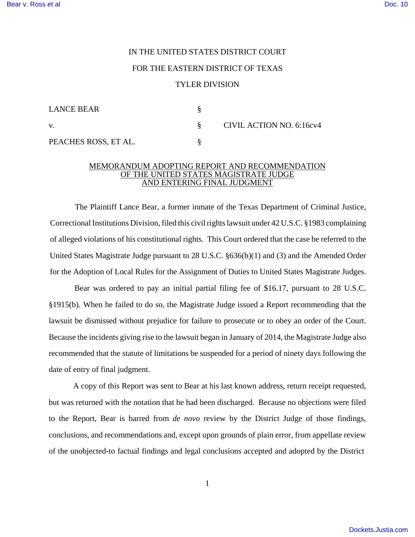## IN THE UNITED STATES DISTRICT COURT FOR THE EASTERN DISTRICT OF TEXAS TYLER DIVISION

| <b>LANCE BEAR</b>    |  | CIVIL ACTION NO. 6:16cv4 |
|----------------------|--|--------------------------|
| V.                   |  |                          |
| PEACHES ROSS, ET AL. |  |                          |

## MEMORANDUM ADOPTING REPORT AND RECOMMENDATION OF THE UNITED STATES MAGISTRATE JUDGE AND ENTERING FINAL JUDGMENT

The Plaintiff Lance Bear, a former inmate of the Texas Department of Criminal Justice, Correctional Institutions Division, filed this civil rights lawsuit under 42 U.S.C. §1983 complaining of alleged violations of his constitutional rights. This Court ordered that the case be referred to the United States Magistrate Judge pursuant to 28 U.S.C. §636(b)(1) and (3) and the Amended Order for the Adoption of Local Rules for the Assignment of Duties to United States Magistrate Judges.

Bear was ordered to pay an initial partial filing fee of \$16.17, pursuant to 28 U.S.C. §1915(b). When he failed to do so, the Magistrate Judge issued a Report recommending that the lawsuit be dismissed without prejudice for failure to prosecute or to obey an order of the Court. Because the incidents giving rise to the lawsuit began in January of 2014, the Magistrate Judge also recommended that the statute of limitations be suspended for a period of ninety days following the date of entry of final judgment.

A copy of this Report was sent to Bear at his last known address, return receipt requested, but was returned with the notation that he had been discharged. Because no objections were filed to the Report, Bear is barred from *de novo* review by the District Judge of those findings, conclusions, and recommendations and, except upon grounds of plain error, from appellate review of the unobjected-to factual findings and legal conclusions accepted and adopted by the District